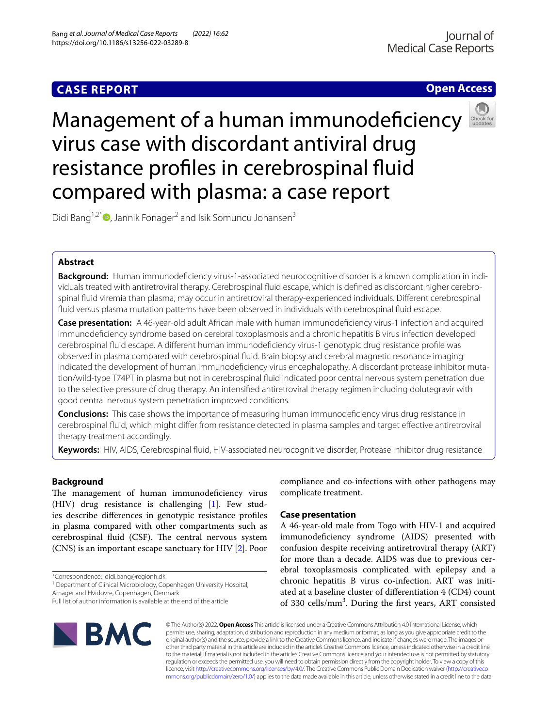## **CASE REPORT**

**Open Access**

# Management of a human immunodeficiency virus case with discordant antiviral drug resistance profles in cerebrospinal fuid compared with plasma: a case report

Didi Bang<sup>1,2[\\*](http://orcid.org/0000-0002-7490-5369)</sup> $\bullet$ , Jannik Fonager<sup>2</sup> and Isik Somuncu Johansen<sup>3</sup>

## **Abstract**

**Background:** Human immunodefciency virus-1-associated neurocognitive disorder is a known complication in individuals treated with antiretroviral therapy. Cerebrospinal fuid escape, which is defned as discordant higher cerebrospinal fuid viremia than plasma, may occur in antiretroviral therapy-experienced individuals. Diferent cerebrospinal fuid versus plasma mutation patterns have been observed in individuals with cerebrospinal fuid escape.

**Case presentation:** A 46-year-old adult African male with human immunodefciency virus-1 infection and acquired immunodefciency syndrome based on cerebral toxoplasmosis and a chronic hepatitis B virus infection developed cerebrospinal fuid escape. A diferent human immunodefciency virus-1 genotypic drug resistance profle was observed in plasma compared with cerebrospinal fuid. Brain biopsy and cerebral magnetic resonance imaging indicated the development of human immunodefciency virus encephalopathy. A discordant protease inhibitor mutation/wild-type T74PT in plasma but not in cerebrospinal fuid indicated poor central nervous system penetration due to the selective pressure of drug therapy. An intensifed antiretroviral therapy regimen including dolutegravir with good central nervous system penetration improved conditions.

**Conclusions:** This case shows the importance of measuring human immunodefciency virus drug resistance in cerebrospinal fuid, which might difer from resistance detected in plasma samples and target efective antiretroviral therapy treatment accordingly.

**Keywords:** HIV, AIDS, Cerebrospinal fuid, HIV-associated neurocognitive disorder, Protease inhibitor drug resistance

**Background**

The management of human immunodeficiency virus (HIV) drug resistance is challenging [[1\]](#page-3-0). Few studies describe diferences in genotypic resistance profles in plasma compared with other compartments such as cerebrospinal fluid (CSF). The central nervous system (CNS) is an important escape sanctuary for HIV [\[2](#page-3-1)]. Poor

\*Correspondence: didi.bang@regionh.dk

<sup>1</sup> Department of Clinical Microbiology, Copenhagen University Hospital, Amager and Hvidovre, Copenhagen, Denmark

Full list of author information is available at the end of the article

compliance and co-infections with other pathogens may complicate treatment.

### **Case presentation**

A 46-year-old male from Togo with HIV-1 and acquired immunodefciency syndrome (AIDS) presented with confusion despite receiving antiretroviral therapy (ART) for more than a decade. AIDS was due to previous cerebral toxoplasmosis complicated with epilepsy and a chronic hepatitis B virus co-infection. ART was initiated at a baseline cluster of diferentiation 4 (CD4) count of 330 cells/mm<sup>3</sup>. During the first years, ART consisted



© The Author(s) 2022. **Open Access** This article is licensed under a Creative Commons Attribution 4.0 International License, which permits use, sharing, adaptation, distribution and reproduction in any medium or format, as long as you give appropriate credit to the original author(s) and the source, provide a link to the Creative Commons licence, and indicate if changes were made. The images or other third party material in this article are included in the article's Creative Commons licence, unless indicated otherwise in a credit line to the material. If material is not included in the article's Creative Commons licence and your intended use is not permitted by statutory regulation or exceeds the permitted use, you will need to obtain permission directly from the copyright holder. To view a copy of this licence, visit [http://creativecommons.org/licenses/by/4.0/.](http://creativecommons.org/licenses/by/4.0/) The Creative Commons Public Domain Dedication waiver ([http://creativeco](http://creativecommons.org/publicdomain/zero/1.0/) [mmons.org/publicdomain/zero/1.0/](http://creativecommons.org/publicdomain/zero/1.0/)) applies to the data made available in this article, unless otherwise stated in a credit line to the data.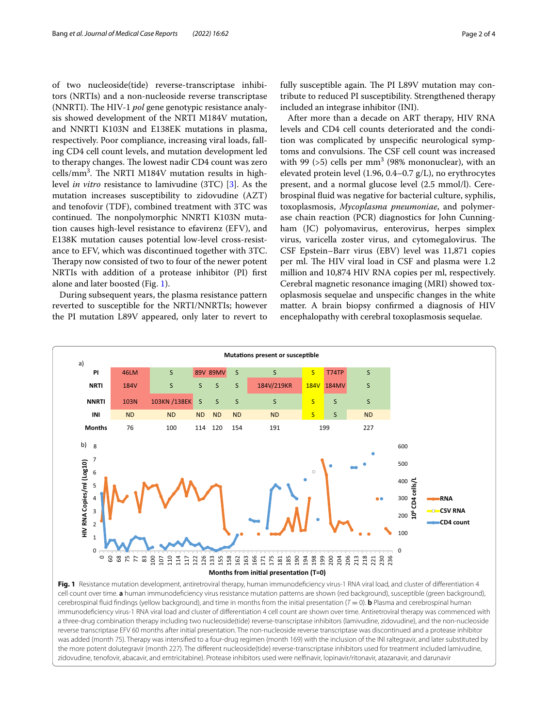of two nucleoside(tide) reverse-transcriptase inhibitors (NRTIs) and a non-nucleoside reverse transcriptase (NNRTI). The HIV-1 *pol* gene genotypic resistance analysis showed development of the NRTI M184V mutation, and NNRTI K103N and E138EK mutations in plasma, respectively. Poor compliance, increasing viral loads, falling CD4 cell count levels, and mutation development led to therapy changes. The lowest nadir CD4 count was zero cells/mm<sup>3</sup>. The NRTI M184V mutation results in highlevel *in vitro* resistance to lamivudine (3TC) [\[3](#page-3-2)]. As the mutation increases susceptibility to zidovudine (AZT) and tenofovir (TDF), combined treatment with 3TC was continued. The nonpolymorphic NNRTI K103N mutation causes high-level resistance to efavirenz (EFV), and E138K mutation causes potential low-level cross-resistance to EFV, which was discontinued together with 3TC. Therapy now consisted of two to four of the newer potent NRTIs with addition of a protease inhibitor (PI) frst alone and later boosted (Fig. [1](#page-1-0)).

During subsequent years, the plasma resistance pattern reverted to susceptible for the NRTI/NNRTIs; however the PI mutation L89V appeared, only later to revert to fully susceptible again. The PI L89V mutation may contribute to reduced PI susceptibility. Strengthened therapy included an integrase inhibitor (INI).

After more than a decade on ART therapy, HIV RNA levels and CD4 cell counts deteriorated and the condition was complicated by unspecifc neurological symptoms and convulsions. The CSF cell count was increased with 99  $(>5)$  cells per mm<sup>3</sup> (98% mononuclear), with an elevated protein level (1.96, 0.4–0.7 g/L), no erythrocytes present, and a normal glucose level (2.5 mmol/l). Cerebrospinal fuid was negative for bacterial culture, syphilis, toxoplasmosis, *Mycoplasma pneumoniae*, and polymerase chain reaction (PCR) diagnostics for John Cunningham (JC) polyomavirus, enterovirus, herpes simplex virus, varicella zoster virus, and cytomegalovirus. The CSF Epstein–Barr virus (EBV) level was 11,871 copies per ml. The HIV viral load in CSF and plasma were 1.2 million and 10,874 HIV RNA copies per ml, respectively. Cerebral magnetic resonance imaging (MRI) showed toxoplasmosis sequelae and unspecifc changes in the white matter. A brain biopsy confrmed a diagnosis of HIV encephalopathy with cerebral toxoplasmosis sequelae.

<span id="page-1-0"></span>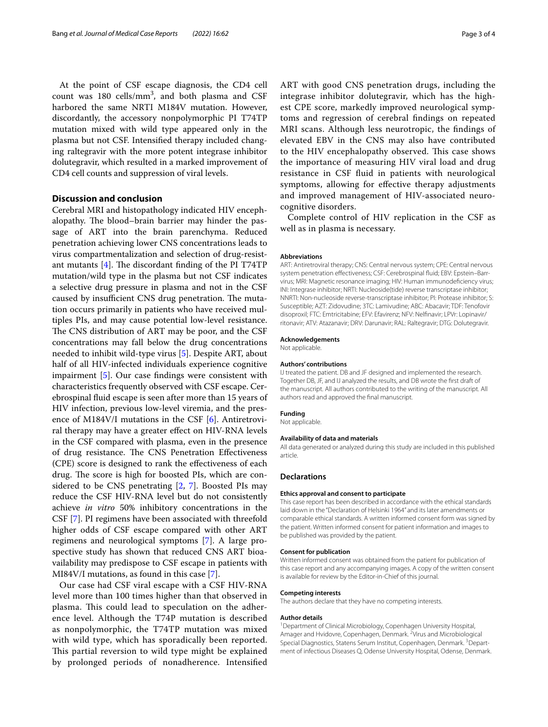At the point of CSF escape diagnosis, the CD4 cell count was  $180 \text{ cells/mm}^3$ , and both plasma and CSF harbored the same NRTI M184V mutation. However, discordantly, the accessory nonpolymorphic PI T74TP mutation mixed with wild type appeared only in the plasma but not CSF. Intensifed therapy included changing raltegravir with the more potent integrase inhibitor dolutegravir, which resulted in a marked improvement of CD4 cell counts and suppression of viral levels.

#### **Discussion and conclusion**

Cerebral MRI and histopathology indicated HIV encephalopathy. The blood–brain barrier may hinder the passage of ART into the brain parenchyma. Reduced penetration achieving lower CNS concentrations leads to virus compartmentalization and selection of drug-resistant mutants  $[4]$  $[4]$ . The discordant finding of the PI T74TP mutation/wild type in the plasma but not CSF indicates a selective drug pressure in plasma and not in the CSF caused by insufficient CNS drug penetration. The mutation occurs primarily in patients who have received multiples PIs, and may cause potential low-level resistance. The CNS distribution of ART may be poor, and the CSF concentrations may fall below the drug concentrations needed to inhibit wild-type virus [\[5](#page-3-4)]. Despite ART, about half of all HIV-infected individuals experience cognitive impairment [[5\]](#page-3-4). Our case fndings were consistent with characteristics frequently observed with CSF escape. Cerebrospinal fuid escape is seen after more than 15 years of HIV infection, previous low-level viremia, and the presence of M184V/I mutations in the CSF [\[6](#page-3-5)]. Antiretroviral therapy may have a greater efect on HIV-RNA levels in the CSF compared with plasma, even in the presence of drug resistance. The CNS Penetration Effectiveness (CPE) score is designed to rank the efectiveness of each drug. The score is high for boosted PIs, which are considered to be CNS penetrating [\[2](#page-3-1), [7](#page-3-6)]. Boosted PIs may reduce the CSF HIV-RNA level but do not consistently achieve *in vitro* 50% inhibitory concentrations in the CSF [\[7](#page-3-6)]. PI regimens have been associated with threefold higher odds of CSF escape compared with other ART regimens and neurological symptoms [[7\]](#page-3-6). A large prospective study has shown that reduced CNS ART bioavailability may predispose to CSF escape in patients with MI84V/I mutations, as found in this case [[7\]](#page-3-6).

Our case had CSF viral escape with a CSF HIV-RNA level more than 100 times higher than that observed in plasma. This could lead to speculation on the adherence level. Although the T74P mutation is described as nonpolymorphic, the T74TP mutation was mixed with wild type, which has sporadically been reported. This partial reversion to wild type might be explained by prolonged periods of nonadherence. Intensifed ART with good CNS penetration drugs, including the integrase inhibitor dolutegravir, which has the highest CPE score, markedly improved neurological symptoms and regression of cerebral fndings on repeated MRI scans. Although less neurotropic, the fndings of elevated EBV in the CNS may also have contributed to the HIV encephalopathy observed. This case shows the importance of measuring HIV viral load and drug resistance in CSF fuid in patients with neurological symptoms, allowing for efective therapy adjustments and improved management of HIV-associated neurocognitive disorders.

Complete control of HIV replication in the CSF as well as in plasma is necessary.

#### **Abbreviations**

ART: Antiretroviral therapy; CNS: Central nervous system; CPE: Central nervous system penetration effectiveness; CSF: Cerebrospinal fluid; EBV: Epstein-Barrvirus; MRI: Magnetic resonance imaging; HIV: Human immunodefciency virus; INI: Integrase inhibitor; NRTI: Nucleoside(tide) reverse transcriptase inhibitor; NNRTI: Non-nucleoside reverse-transcriptase inhibitor; PI: Protease inhibitor; S: Susceptible; AZT: Zidovudine; 3TC: Lamivudine; ABC: Abacavir; TDF: Tenofovir disoproxil; FTC: Emtricitabine; EFV: Efavirenz; NFV: Nelfnavir; LPVr: Lopinavir/ ritonavir; ATV: Atazanavir; DRV: Darunavir; RAL: Raltegravir; DTG: Dolutegravir.

#### **Acknowledgements**

Not applicable.

#### **Authors' contributions**

IJ treated the patient. DB and JF designed and implemented the research. Together DB, JF, and IJ analyzed the results, and DB wrote the frst draft of the manuscript. All authors contributed to the writing of the manuscript. All authors read and approved the fnal manuscript.

#### **Funding**

Not applicable.

#### **Availability of data and materials**

All data generated or analyzed during this study are included in this published article.

#### **Declarations**

#### **Ethics approval and consent to participate**

This case report has been described in accordance with the ethical standards laid down in the "Declaration of Helsinki 1964" and its later amendments or comparable ethical standards. A written informed consent form was signed by the patient. Written informed consent for patient information and images to be published was provided by the patient.

#### **Consent for publication**

Written informed consent was obtained from the patient for publication of this case report and any accompanying images. A copy of the written consent is available for review by the Editor-in-Chief of this journal.

#### **Competing interests**

The authors declare that they have no competing interests.

#### **Author details**

<sup>1</sup> Department of Clinical Microbiology, Copenhagen University Hospital, Amager and Hvidovre, Copenhagen, Denmark. <sup>2</sup> Virus and Microbiological Special Diagnostics, Statens Serum Institut, Copenhagen, Denmark.<sup>3</sup> Department of infectious Diseases Q, Odense University Hospital, Odense, Denmark.